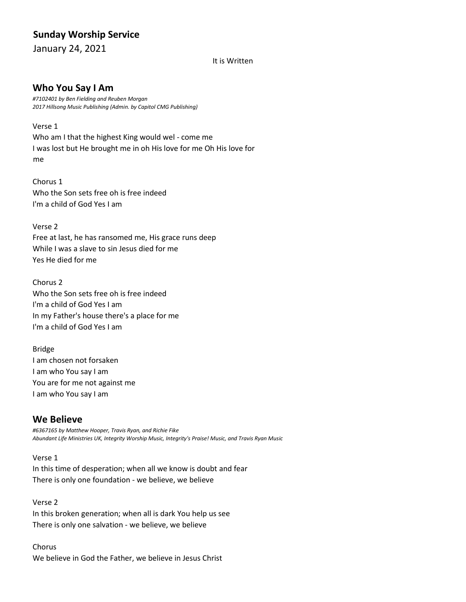# **Sunday Worship Service**

January 24, 2021

#### It is Written

## **Who You Say I Am**

*#7102401 by Ben Fielding and Reuben Morgan 2017 Hillsong Music Publishing (Admin. by Capitol CMG Publishing)*

Verse 1

Who am I that the highest King would wel - come me I was lost but He brought me in oh His love for me Oh His love for me

Chorus 1 Who the Son sets free oh is free indeed I'm a child of God Yes I am

Verse 2 Free at last, he has ransomed me, His grace runs deep While I was a slave to sin Jesus died for me Yes He died for me

Chorus 2 Who the Son sets free oh is free indeed I'm a child of God Yes I am In my Father's house there's a place for me I'm a child of God Yes I am

Bridge I am chosen not forsaken I am who You say I am You are for me not against me I am who You say I am

## **We Believe**

*#6367165 by Matthew Hooper, Travis Ryan, and Richie Fike Abundant Life Ministries UK, Integrity Worship Music, Integrity's Praise! Music, and Travis Ryan Music*

Verse 1 In this time of desperation; when all we know is doubt and fear There is only one foundation - we believe, we believe

Verse 2 In this broken generation; when all is dark You help us see There is only one salvation - we believe, we believe

Chorus We believe in God the Father, we believe in Jesus Christ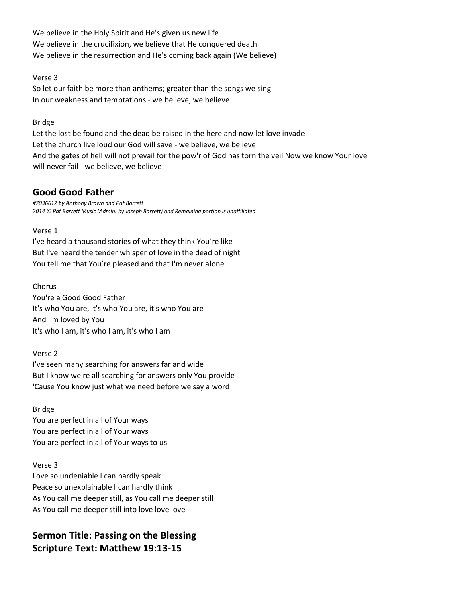We believe in the Holy Spirit and He's given us new life We believe in the crucifixion, we believe that He conquered death We believe in the resurrection and He's coming back again (We believe)

Verse 3

So let our faith be more than anthems; greater than the songs we sing In our weakness and temptations - we believe, we believe

### Bridge

Let the lost be found and the dead be raised in the here and now let love invade Let the church live loud our God will save - we believe, we believe And the gates of hell will not prevail for the pow'r of God has torn the veil Now we know Your love will never fail - we believe, we believe

# **Good Good Father**

*#7036612 by Anthony Brown and Pat Barrett 2014 © Pat Barrett Music (Admin. by Joseph Barrett) and Remaining portion is unaffiliated*

### Verse 1

I've heard a thousand stories of what they think You're like But I've heard the tender whisper of love in the dead of night You tell me that You're pleased and that I'm never alone

## Chorus

You're a Good Good Father It's who You are, it's who You are, it's who You are And I'm loved by You It's who I am, it's who I am, it's who I am

## Verse 2

I've seen many searching for answers far and wide But I know we're all searching for answers only You provide 'Cause You know just what we need before we say a word

### Bridge

You are perfect in all of Your ways You are perfect in all of Your ways You are perfect in all of Your ways to us

### Verse 3

Love so undeniable I can hardly speak Peace so unexplainable I can hardly think As You call me deeper still, as You call me deeper still As You call me deeper still into love love love

# **Sermon Title: Passing on the Blessing Scripture Text: Matthew 19:13-15**